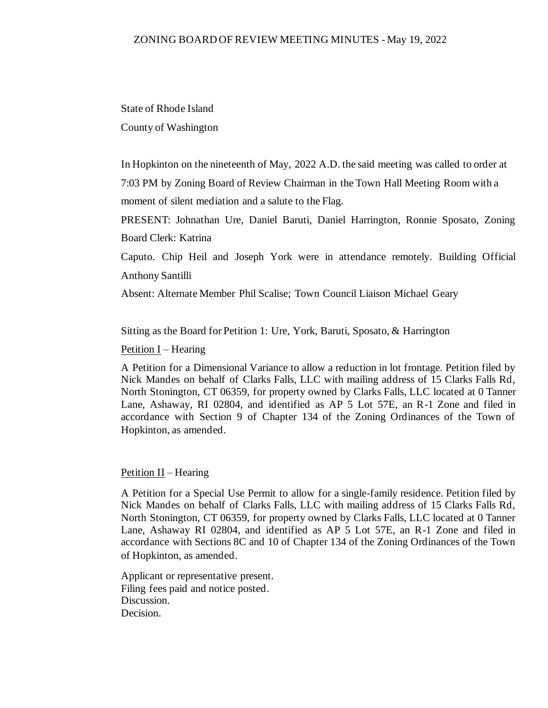State of Rhode Island County of Washington

In Hopkinton on the nineteenth of May, 2022 A.D. the said meeting was called to order at 7:03 PM by Zoning Board of Review Chairman in the Town Hall Meeting Room with a moment of silent mediation and a salute to the Flag.

PRESENT: Johnathan Ure, Daniel Baruti, Daniel Harrington, Ronnie Sposato, Zoning Board Clerk: Katrina

Caputo. Chip Heil and Joseph York were in attendance remotely. Building Official Anthony Santilli

Absent: Alternate Member Phil Scalise; Town Council Liaison Michael Geary

Sitting as the Board for Petition 1: Ure, York, Baruti, Sposato, & Harrington

Petition I – Hearing

A Petition for a Dimensional Variance to allow a reduction in lot frontage. Petition filed by Nick Mandes on behalf of Clarks Falls, LLC with mailing address of 15 Clarks Falls Rd, North Stonington, CT 06359, for property owned by Clarks Falls, LLC located at 0 Tanner Lane, Ashaway, RI 02804, and identified as AP 5 Lot 57E, an R-1 Zone and filed in accordance with Section 9 of Chapter 134 of the Zoning Ordinances of the Town of Hopkinton, as amended.

#### Petition II – Hearing

A Petition for a Special Use Permit to allow for a single-family residence. Petition filed by Nick Mandes on behalf of Clarks Falls, LLC with mailing address of 15 Clarks Falls Rd, North Stonington, CT 06359, for property owned by Clarks Falls, LLC located at 0 Tanner Lane, Ashaway RI 02804, and identified as AP 5 Lot 57E, an R-1 Zone and filed in accordance with Sections 8C and 10 of Chapter 134 of the Zoning Ordinances of the Town of Hopkinton, as amended.

Applicant or representative present. Filing fees paid and notice posted. Discussion. Decision.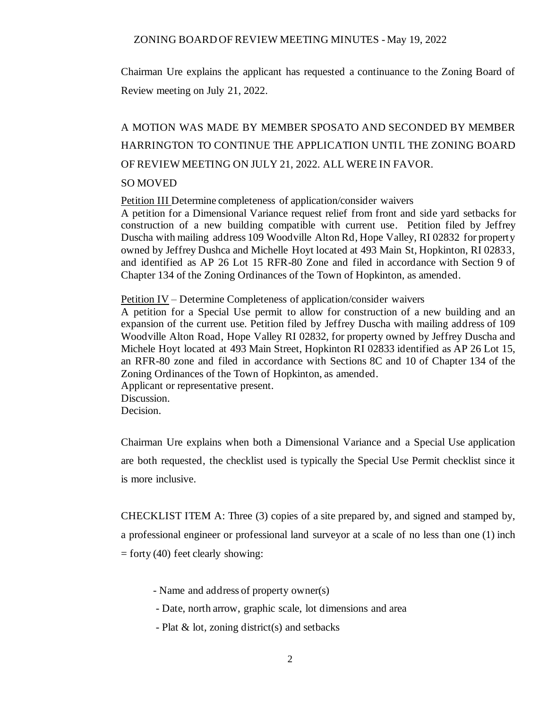Chairman Ure explains the applicant has requested a continuance to the Zoning Board of Review meeting on July 21, 2022.

# A MOTION WAS MADE BY MEMBER SPOSATO AND SECONDED BY MEMBER HARRINGTON TO CONTINUE THE APPLICATION UNTIL THE ZONING BOARD OF REVIEW MEETING ON JULY 21, 2022. ALL WERE IN FAVOR.

#### SO MOVED

Petition III Determine completeness of application/consider waivers

A petition for a Dimensional Variance request relief from front and side yard setbacks for construction of a new building compatible with current use. Petition filed by Jeffrey Duscha with mailing address 109 Woodville Alton Rd, Hope Valley, RI 02832 for property owned by Jeffrey Dushca and Michelle Hoyt located at 493 Main St, Hopkinton, RI 02833, and identified as AP 26 Lot 15 RFR-80 Zone and filed in accordance with Section 9 of Chapter 134 of the Zoning Ordinances of the Town of Hopkinton, as amended.

Petition IV – Determine Completeness of application/consider waivers

A petition for a Special Use permit to allow for construction of a new building and an expansion of the current use. Petition filed by Jeffrey Duscha with mailing address of 109 Woodville Alton Road, Hope Valley RI 02832, for property owned by Jeffrey Duscha and Michele Hoyt located at 493 Main Street, Hopkinton RI 02833 identified as AP 26 Lot 15, an RFR-80 zone and filed in accordance with Sections 8C and 10 of Chapter 134 of the Zoning Ordinances of the Town of Hopkinton, as amended. Applicant or representative present. Discussion. Decision.

Chairman Ure explains when both a Dimensional Variance and a Special Use application are both requested, the checklist used is typically the Special Use Permit checklist since it is more inclusive.

CHECKLIST ITEM A: Three (3) copies of a site prepared by, and signed and stamped by, a professional engineer or professional land surveyor at a scale of no less than one (1) inch  $=$  forty (40) feet clearly showing:

- Name and address of property owner(s)
- Date, north arrow, graphic scale, lot dimensions and area
- Plat & lot, zoning district(s) and setbacks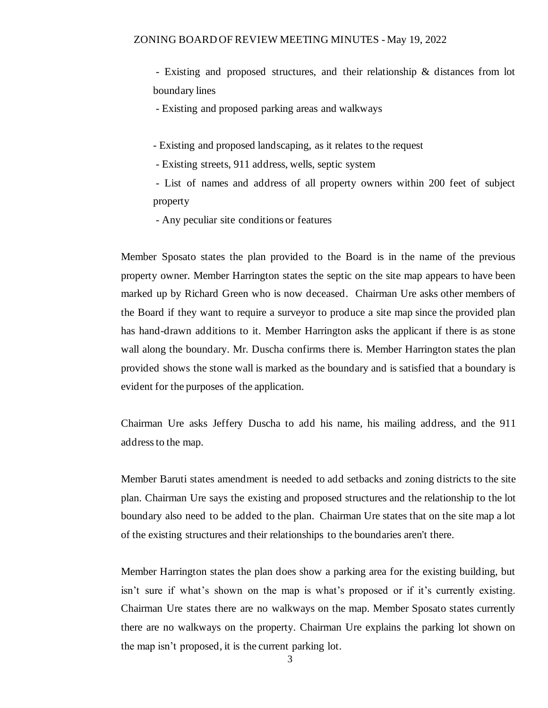- Existing and proposed structures, and their relationship & distances from lot boundary lines

- Existing and proposed parking areas and walkways

- Existing and proposed landscaping, as it relates to the request

- Existing streets, 911 address, wells, septic system

- List of names and address of all property owners within 200 feet of subject property

- Any peculiar site conditions or features

Member Sposato states the plan provided to the Board is in the name of the previous property owner. Member Harrington states the septic on the site map appears to have been marked up by Richard Green who is now deceased. Chairman Ure asks other members of the Board if they want to require a surveyor to produce a site map since the provided plan has hand-drawn additions to it. Member Harrington asks the applicant if there is as stone wall along the boundary. Mr. Duscha confirms there is. Member Harrington states the plan provided shows the stone wall is marked as the boundary and is satisfied that a boundary is evident for the purposes of the application.

Chairman Ure asks Jeffery Duscha to add his name, his mailing address, and the 911 address to the map.

Member Baruti states amendment is needed to add setbacks and zoning districts to the site plan. Chairman Ure says the existing and proposed structures and the relationship to the lot boundary also need to be added to the plan. Chairman Ure states that on the site map a lot of the existing structures and their relationships to the boundaries aren't there.

Member Harrington states the plan does show a parking area for the existing building, but isn't sure if what's shown on the map is what's proposed or if it's currently existing. Chairman Ure states there are no walkways on the map. Member Sposato states currently there are no walkways on the property. Chairman Ure explains the parking lot shown on the map isn't proposed, it is the current parking lot.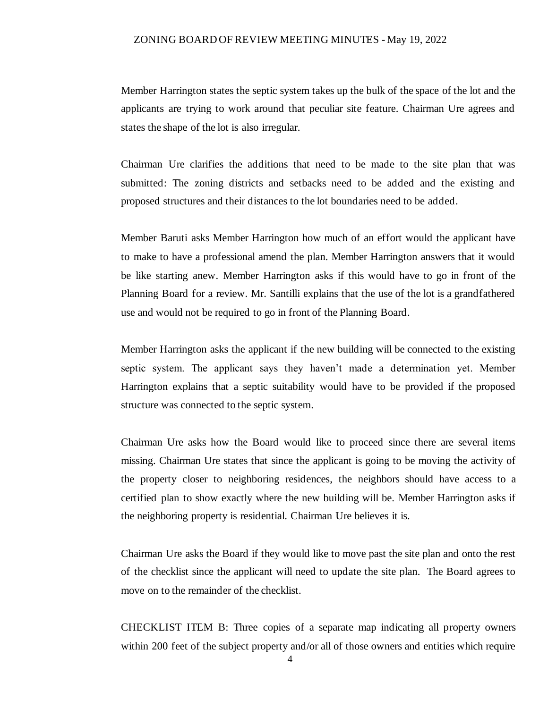Member Harrington states the septic system takes up the bulk of the space of the lot and the applicants are trying to work around that peculiar site feature. Chairman Ure agrees and states the shape of the lot is also irregular.

Chairman Ure clarifies the additions that need to be made to the site plan that was submitted: The zoning districts and setbacks need to be added and the existing and proposed structures and their distances to the lot boundaries need to be added.

Member Baruti asks Member Harrington how much of an effort would the applicant have to make to have a professional amend the plan. Member Harrington answers that it would be like starting anew. Member Harrington asks if this would have to go in front of the Planning Board for a review. Mr. Santilli explains that the use of the lot is a grandfathered use and would not be required to go in front of the Planning Board.

Member Harrington asks the applicant if the new building will be connected to the existing septic system. The applicant says they haven't made a determination yet. Member Harrington explains that a septic suitability would have to be provided if the proposed structure was connected to the septic system.

Chairman Ure asks how the Board would like to proceed since there are several items missing. Chairman Ure states that since the applicant is going to be moving the activity of the property closer to neighboring residences, the neighbors should have access to a certified plan to show exactly where the new building will be. Member Harrington asks if the neighboring property is residential. Chairman Ure believes it is.

Chairman Ure asks the Board if they would like to move past the site plan and onto the rest of the checklist since the applicant will need to update the site plan. The Board agrees to move on to the remainder of the checklist.

CHECKLIST ITEM B: Three copies of a separate map indicating all property owners within 200 feet of the subject property and/or all of those owners and entities which require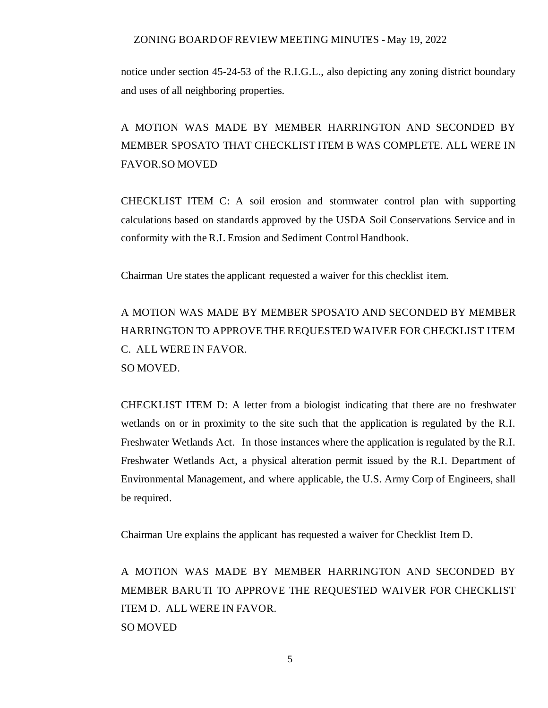notice under section 45-24-53 of the R.I.G.L., also depicting any zoning district boundary and uses of all neighboring properties.

## A MOTION WAS MADE BY MEMBER HARRINGTON AND SECONDED BY MEMBER SPOSATO THAT CHECKLIST ITEM B WAS COMPLETE. ALL WERE IN FAVOR.SO MOVED

CHECKLIST ITEM C: A soil erosion and stormwater control plan with supporting calculations based on standards approved by the USDA Soil Conservations Service and in conformity with the R.I. Erosion and Sediment Control Handbook.

Chairman Ure states the applicant requested a waiver for this checklist item.

A MOTION WAS MADE BY MEMBER SPOSATO AND SECONDED BY MEMBER HARRINGTON TO APPROVE THE REQUESTED WAIVER FOR CHECKLIST ITEM C. ALL WERE IN FAVOR. SO MOVED.

CHECKLIST ITEM D: A letter from a biologist indicating that there are no freshwater wetlands on or in proximity to the site such that the application is regulated by the R.I. Freshwater Wetlands Act. In those instances where the application is regulated by the R.I. Freshwater Wetlands Act, a physical alteration permit issued by the R.I. Department of Environmental Management, and where applicable, the U.S. Army Corp of Engineers, shall be required.

Chairman Ure explains the applicant has requested a waiver for Checklist Item D.

A MOTION WAS MADE BY MEMBER HARRINGTON AND SECONDED BY MEMBER BARUTI TO APPROVE THE REQUESTED WAIVER FOR CHECKLIST ITEM D. ALL WERE IN FAVOR. SO MOVED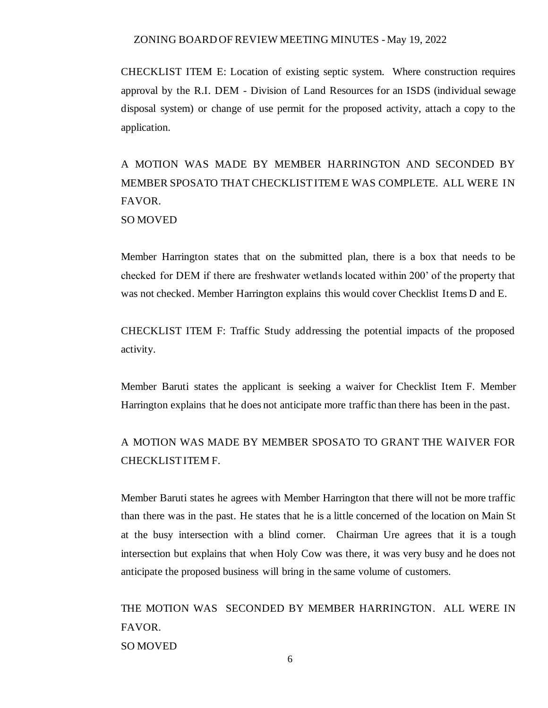CHECKLIST ITEM E: Location of existing septic system. Where construction requires approval by the R.I. DEM - Division of Land Resources for an ISDS (individual sewage disposal system) or change of use permit for the proposed activity, attach a copy to the application.

A MOTION WAS MADE BY MEMBER HARRINGTON AND SECONDED BY MEMBER SPOSATO THAT CHECKLIST ITEM E WAS COMPLETE. ALL WERE IN FAVOR. SO MOVED

Member Harrington states that on the submitted plan, there is a box that needs to be checked for DEM if there are freshwater wetlands located within 200' of the property that was not checked. Member Harrington explains this would cover Checklist Items D and E.

CHECKLIST ITEM F: Traffic Study addressing the potential impacts of the proposed activity.

Member Baruti states the applicant is seeking a waiver for Checklist Item F. Member Harrington explains that he does not anticipate more traffic than there has been in the past.

### A MOTION WAS MADE BY MEMBER SPOSATO TO GRANT THE WAIVER FOR CHECKLIST ITEM F.

Member Baruti states he agrees with Member Harrington that there will not be more traffic than there was in the past. He states that he is a little concerned of the location on Main St at the busy intersection with a blind corner. Chairman Ure agrees that it is a tough intersection but explains that when Holy Cow was there, it was very busy and he does not anticipate the proposed business will bring in the same volume of customers.

THE MOTION WAS SECONDED BY MEMBER HARRINGTON. ALL WERE IN FAVOR. SO MOVED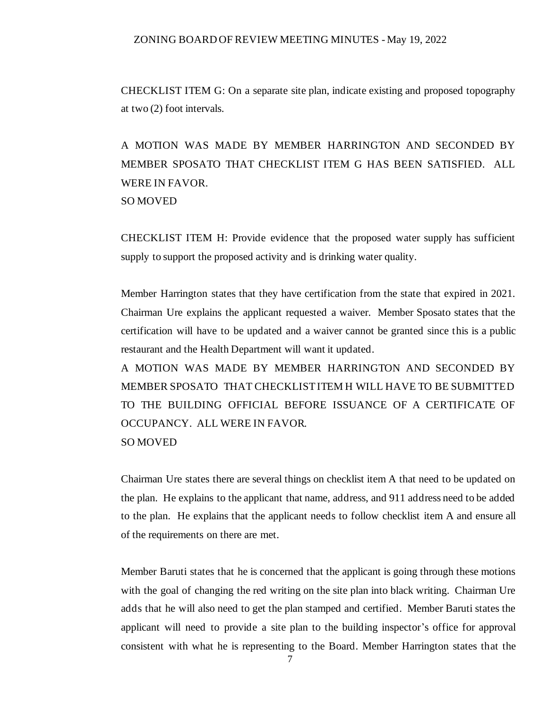CHECKLIST ITEM G: On a separate site plan, indicate existing and proposed topography at two (2) foot intervals.

A MOTION WAS MADE BY MEMBER HARRINGTON AND SECONDED BY MEMBER SPOSATO THAT CHECKLIST ITEM G HAS BEEN SATISFIED. ALL WERE IN FAVOR. SO MOVED

CHECKLIST ITEM H: Provide evidence that the proposed water supply has sufficient supply to support the proposed activity and is drinking water quality.

Member Harrington states that they have certification from the state that expired in 2021. Chairman Ure explains the applicant requested a waiver. Member Sposato states that the certification will have to be updated and a waiver cannot be granted since this is a public restaurant and the Health Department will want it updated.

A MOTION WAS MADE BY MEMBER HARRINGTON AND SECONDED BY MEMBER SPOSATO THAT CHECKLIST ITEM H WILL HAVE TO BE SUBMITTED TO THE BUILDING OFFICIAL BEFORE ISSUANCE OF A CERTIFICATE OF OCCUPANCY. ALL WERE IN FAVOR. SO MOVED

Chairman Ure states there are several things on checklist item A that need to be updated on the plan. He explains to the applicant that name, address, and 911 address need to be added to the plan. He explains that the applicant needs to follow checklist item A and ensure all of the requirements on there are met.

Member Baruti states that he is concerned that the applicant is going through these motions with the goal of changing the red writing on the site plan into black writing. Chairman Ure adds that he will also need to get the plan stamped and certified. Member Baruti states the applicant will need to provide a site plan to the building inspector's office for approval consistent with what he is representing to the Board. Member Harrington states that the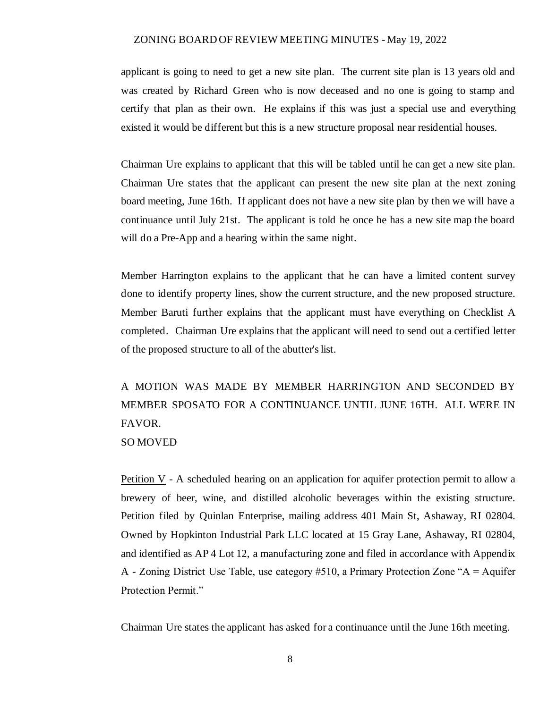applicant is going to need to get a new site plan. The current site plan is 13 years old and was created by Richard Green who is now deceased and no one is going to stamp and certify that plan as their own. He explains if this was just a special use and everything existed it would be different but this is a new structure proposal near residential houses.

Chairman Ure explains to applicant that this will be tabled until he can get a new site plan. Chairman Ure states that the applicant can present the new site plan at the next zoning board meeting, June 16th. If applicant does not have a new site plan by then we will have a continuance until July 21st. The applicant is told he once he has a new site map the board will do a Pre-App and a hearing within the same night.

Member Harrington explains to the applicant that he can have a limited content survey done to identify property lines, show the current structure, and the new proposed structure. Member Baruti further explains that the applicant must have everything on Checklist A completed. Chairman Ure explains that the applicant will need to send out a certified letter of the proposed structure to all of the abutter's list.

A MOTION WAS MADE BY MEMBER HARRINGTON AND SECONDED BY MEMBER SPOSATO FOR A CONTINUANCE UNTIL JUNE 16TH. ALL WERE IN FAVOR. SO MOVED

Petition  $V - A$  scheduled hearing on an application for aquifer protection permit to allow a brewery of beer, wine, and distilled alcoholic beverages within the existing structure. Petition filed by Quinlan Enterprise, mailing address 401 Main St, Ashaway, RI 02804. Owned by Hopkinton Industrial Park LLC located at 15 Gray Lane, Ashaway, RI 02804, and identified as AP 4 Lot 12, a manufacturing zone and filed in accordance with Appendix A - Zoning District Use Table, use category #510, a Primary Protection Zone "A = Aquifer Protection Permit."

Chairman Ure states the applicant has asked for a continuance until the June 16th meeting.